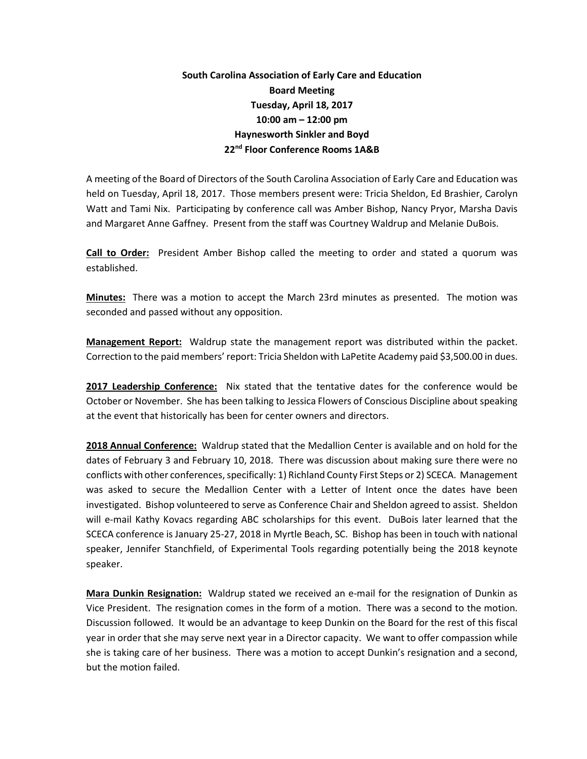## **South Carolina Association of Early Care and Education Board Meeting Tuesday, April 18, 2017 10:00 am – 12:00 pm Haynesworth Sinkler and Boyd 22nd Floor Conference Rooms 1A&B**

A meeting of the Board of Directors of the South Carolina Association of Early Care and Education was held on Tuesday, April 18, 2017. Those members present were: Tricia Sheldon, Ed Brashier, Carolyn Watt and Tami Nix. Participating by conference call was Amber Bishop, Nancy Pryor, Marsha Davis and Margaret Anne Gaffney. Present from the staff was Courtney Waldrup and Melanie DuBois.

**Call to Order:** President Amber Bishop called the meeting to order and stated a quorum was established.

**Minutes:** There was a motion to accept the March 23rd minutes as presented. The motion was seconded and passed without any opposition.

**Management Report:** Waldrup state the management report was distributed within the packet. Correction to the paid members' report: Tricia Sheldon with LaPetite Academy paid \$3,500.00 in dues.

**2017 Leadership Conference:** Nix stated that the tentative dates for the conference would be October or November. She has been talking to Jessica Flowers of Conscious Discipline about speaking at the event that historically has been for center owners and directors.

**2018 Annual Conference:** Waldrup stated that the Medallion Center is available and on hold for the dates of February 3 and February 10, 2018. There was discussion about making sure there were no conflicts with other conferences, specifically: 1) Richland County First Steps or 2) SCECA. Management was asked to secure the Medallion Center with a Letter of Intent once the dates have been investigated. Bishop volunteered to serve as Conference Chair and Sheldon agreed to assist. Sheldon will e-mail Kathy Kovacs regarding ABC scholarships for this event. DuBois later learned that the SCECA conference is January 25-27, 2018 in Myrtle Beach, SC. Bishop has been in touch with national speaker, Jennifer Stanchfield, of Experimental Tools regarding potentially being the 2018 keynote speaker.

**Mara Dunkin Resignation:** Waldrup stated we received an e-mail for the resignation of Dunkin as Vice President. The resignation comes in the form of a motion. There was a second to the motion. Discussion followed. It would be an advantage to keep Dunkin on the Board for the rest of this fiscal year in order that she may serve next year in a Director capacity. We want to offer compassion while she is taking care of her business. There was a motion to accept Dunkin's resignation and a second, but the motion failed.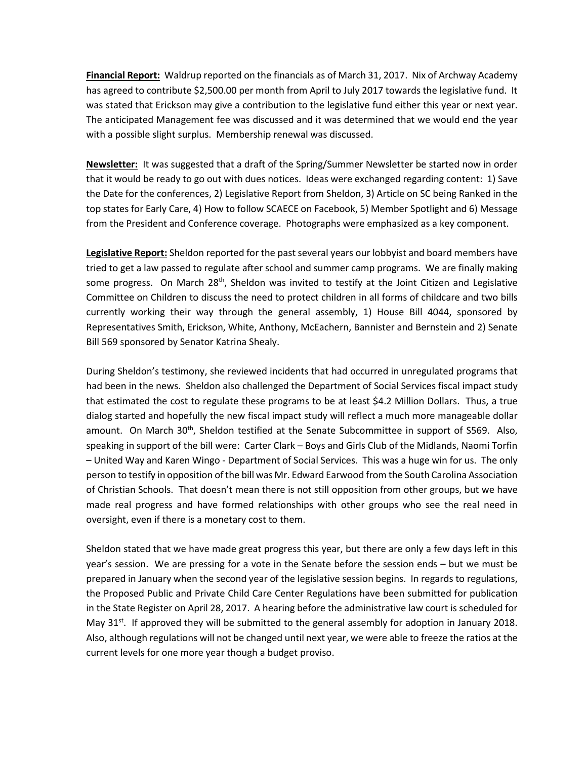**Financial Report:** Waldrup reported on the financials as of March 31, 2017. Nix of Archway Academy has agreed to contribute \$2,500.00 per month from April to July 2017 towards the legislative fund. It was stated that Erickson may give a contribution to the legislative fund either this year or next year. The anticipated Management fee was discussed and it was determined that we would end the year with a possible slight surplus. Membership renewal was discussed.

**Newsletter:** It was suggested that a draft of the Spring/Summer Newsletter be started now in order that it would be ready to go out with dues notices. Ideas were exchanged regarding content: 1) Save the Date for the conferences, 2) Legislative Report from Sheldon, 3) Article on SC being Ranked in the top states for Early Care, 4) How to follow SCAECE on Facebook, 5) Member Spotlight and 6) Message from the President and Conference coverage. Photographs were emphasized as a key component.

**Legislative Report:** Sheldon reported for the past several years our lobbyist and board members have tried to get a law passed to regulate after school and summer camp programs. We are finally making some progress. On March  $28^{th}$ , Sheldon was invited to testify at the Joint Citizen and Legislative Committee on Children to discuss the need to protect children in all forms of childcare and two bills currently working their way through the general assembly, 1) House Bill 4044, sponsored by Representatives Smith, Erickson, White, Anthony, McEachern, Bannister and Bernstein and 2) Senate Bill 569 sponsored by Senator Katrina Shealy.

During Sheldon's testimony, she reviewed incidents that had occurred in unregulated programs that had been in the news. Sheldon also challenged the Department of Social Services fiscal impact study that estimated the cost to regulate these programs to be at least \$4.2 Million Dollars. Thus, a true dialog started and hopefully the new fiscal impact study will reflect a much more manageable dollar amount. On March 30<sup>th</sup>, Sheldon testified at the Senate Subcommittee in support of S569. Also, speaking in support of the bill were: Carter Clark – Boys and Girls Club of the Midlands, Naomi Torfin – United Way and Karen Wingo - Department of Social Services. This was a huge win for us. The only person to testify in opposition of the bill was Mr. Edward Earwood from the South Carolina Association of Christian Schools. That doesn't mean there is not still opposition from other groups, but we have made real progress and have formed relationships with other groups who see the real need in oversight, even if there is a monetary cost to them.

Sheldon stated that we have made great progress this year, but there are only a few days left in this year's session. We are pressing for a vote in the Senate before the session ends – but we must be prepared in January when the second year of the legislative session begins. In regards to regulations, the Proposed Public and Private Child Care Center Regulations have been submitted for publication in the State Register on April 28, 2017. A hearing before the administrative law court is scheduled for May  $31<sup>st</sup>$ . If approved they will be submitted to the general assembly for adoption in January 2018. Also, although regulations will not be changed until next year, we were able to freeze the ratios at the current levels for one more year though a budget proviso.